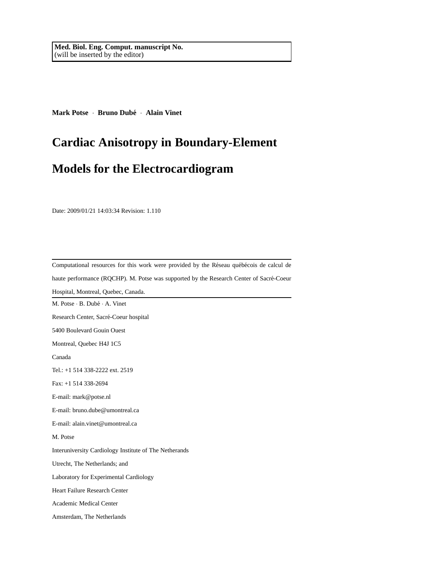**Mark Potse** · **Bruno Dube´** · **Alain Vinet**

# **Cardiac Anisotropy in Boundary-Element**

## **Models for the Electrocardiogram**

Date: 2009/01/21 14:03:34 Revision: 1.110

| Computational resources for this work were provided by the Réseau québécois de calcul de |
|------------------------------------------------------------------------------------------|
| haute performance (RQCHP). M. Potse was supported by the Research Center of Sacré-Coeur  |
| Hospital, Montreal, Quebec, Canada.                                                      |
| M. Potse · B. Dubé · A. Vinet                                                            |
| Research Center, Sacré-Coeur hospital                                                    |
| 5400 Boulevard Gouin Ouest                                                               |
| Montreal, Quebec H4J 1C5                                                                 |
| Canada                                                                                   |
| Tel.: +1 514 338-2222 ext. 2519                                                          |
| Fax: $+1$ 514 338-2694                                                                   |
| E-mail: mark@potse.nl                                                                    |
| E-mail: bruno.dube@umontreal.ca                                                          |
| E-mail: alain.vinet@umontreal.ca                                                         |
| M. Potse                                                                                 |
| Interuniversity Cardiology Institute of The Netherands                                   |
| Utrecht, The Netherlands; and                                                            |
| Laboratory for Experimental Cardiology                                                   |
| Heart Failure Research Center                                                            |
| Academic Medical Center                                                                  |
| Amsterdam, The Netherlands                                                               |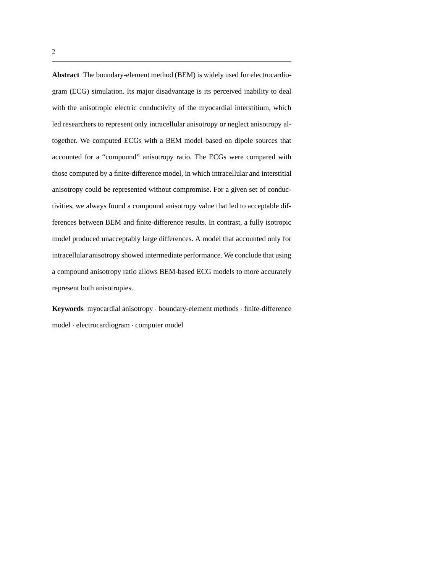**Abstract** The boundary-element method (BEM) is widely used for electrocardiogram (ECG) simulation. Its major disadvantage is its perceived inability to deal with the anisotropic electric conductivity of the myocardial interstitium, which led researchers to represent only intracellular anisotropy or neglect anisotropy altogether. We computed ECGs with a BEM model based on dipole sources that accounted for a "compound" anisotropy ratio. The ECGs were compared with those computed by a finite-difference model, in which intracellular and interstitial anisotropy could be represented without compromise. For a given set of conductivities, we always found a compound anisotropy value that led to acceptable differences between BEM and finite-difference results. In contrast, a fully isotropic model produced unacceptably large differences. A model that accounted only for intracellular anisotropy showed intermediate performance. We conclude that using a compound anisotropy ratio allows BEM-based ECG models to more accurately represent both anisotropies.

**Keywords** myocardial anisotropy · boundary-element methods · finite-difference model · electrocardiogram · computer model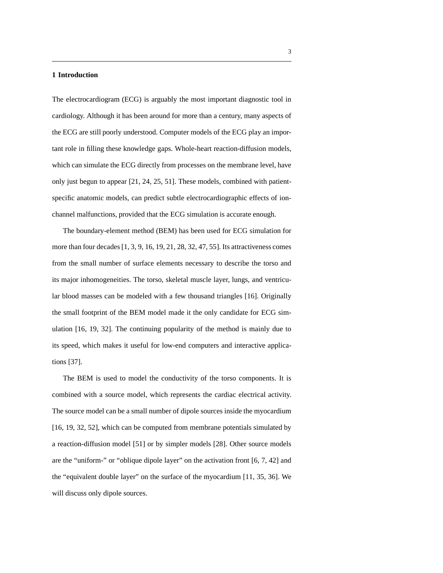#### **1 Introduction**

The electrocardiogram (ECG) is arguably the most important diagnostic tool in cardiology. Although it has been around for more than a century, many aspects of the ECG are still poorly understood. Computer models of the ECG play an important role in filling these knowledge gaps. Whole-heart reaction-diffusion models, which can simulate the ECG directly from processes on the membrane level, have only just begun to appear [21, 24, 25, 51]. These models, combined with patientspecific anatomic models, can predict subtle electrocardiographic effects of ionchannel malfunctions, provided that the ECG simulation is accurate enough.

The boundary-element method (BEM) has been used for ECG simulation for more than four decades [1, 3, 9, 16, 19, 21, 28, 32, 47, 55]. Its attractiveness comes from the small number of surface elements necessary to describe the torso and its major inhomogeneities. The torso, skeletal muscle layer, lungs, and ventricular blood masses can be modeled with a few thousand triangles [16]. Originally the small footprint of the BEM model made it the only candidate for ECG simulation [16, 19, 32]. The continuing popularity of the method is mainly due to its speed, which makes it useful for low-end computers and interactive applications [37].

The BEM is used to model the conductivity of the torso components. It is combined with a source model, which represents the cardiac electrical activity. The source model can be a small number of dipole sources inside the myocardium [16, 19, 32, 52], which can be computed from membrane potentials simulated by a reaction-diffusion model [51] or by simpler models [28]. Other source models are the "uniform-" or "oblique dipole layer" on the activation front [6, 7, 42] and the "equivalent double layer" on the surface of the myocardium [11, 35, 36]. We will discuss only dipole sources.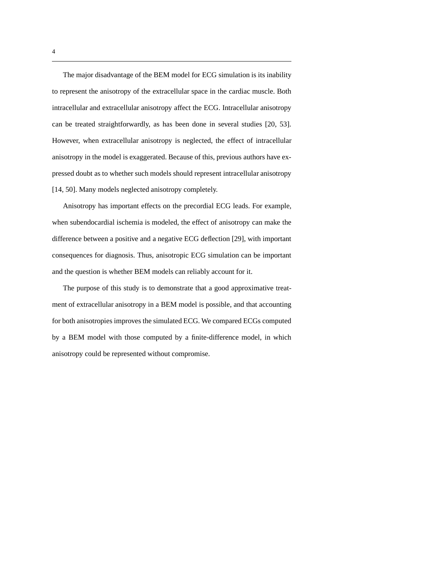The major disadvantage of the BEM model for ECG simulation is its inability to represent the anisotropy of the extracellular space in the cardiac muscle. Both intracellular and extracellular anisotropy affect the ECG. Intracellular anisotropy can be treated straightforwardly, as has been done in several studies [20, 53]. However, when extracellular anisotropy is neglected, the effect of intracellular anisotropy in the model is exaggerated. Because of this, previous authors have expressed doubt as to whether such models should represent intracellular anisotropy [14, 50]. Many models neglected anisotropy completely.

Anisotropy has important effects on the precordial ECG leads. For example, when subendocardial ischemia is modeled, the effect of anisotropy can make the difference between a positive and a negative ECG deflection [29], with important consequences for diagnosis. Thus, anisotropic ECG simulation can be important and the question is whether BEM models can reliably account for it.

The purpose of this study is to demonstrate that a good approximative treatment of extracellular anisotropy in a BEM model is possible, and that accounting for both anisotropies improves the simulated ECG. We compared ECGs computed by a BEM model with those computed by a finite-difference model, in which anisotropy could be represented without compromise.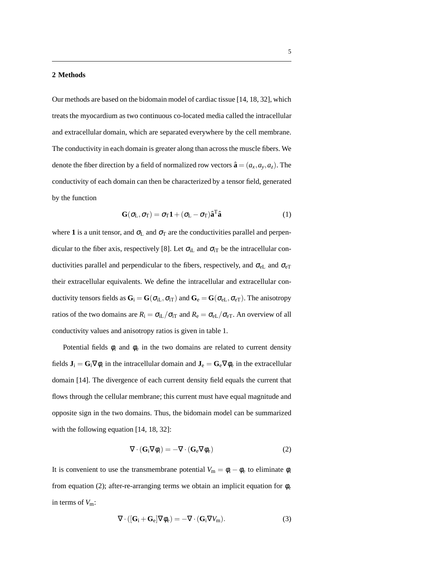#### **2 Methods**

Our methods are based on the bidomain model of cardiac tissue [14, 18, 32], which treats the myocardium as two continuous co-located media called the intracellular and extracellular domain, which are separated everywhere by the cell membrane. The conductivity in each domain is greater along than across the muscle fibers. We denote the fiber direction by a field of normalized row vectors  $\hat{\mathbf{a}} = (a_x, a_y, a_z)$ . The conductivity of each domain can then be characterized by a tensor field, generated by the function

$$
\mathbf{G}(\sigma_{\mathbf{L}}, \sigma_{\mathbf{T}}) = \sigma_{\mathbf{T}} \mathbf{1} + (\sigma_{\mathbf{L}} - \sigma_{\mathbf{T}}) \hat{\mathbf{a}}^{\mathbf{T}} \hat{\mathbf{a}} \tag{1}
$$

where 1 is a unit tensor, and  $\sigma_L$  and  $\sigma_T$  are the conductivities parallel and perpendicular to the fiber axis, respectively [8]. Let  $\sigma_{iL}$  and  $\sigma_{iT}$  be the intracellular conductivities parallel and perpendicular to the fibers, respectively, and  $\sigma_{eL}$  and  $\sigma_{eT}$ their extracellular equivalents. We define the intracellular and extracellular conductivity tensors fields as  $G_i = G(\sigma_{iL}, \sigma_{iT})$  and  $G_e = G(\sigma_{eL}, \sigma_{eT})$ . The anisotropy ratios of the two domains are  $R_i = \sigma_{iL}/\sigma_{iT}$  and  $R_e = \sigma_{eL}/\sigma_{eT}$ . An overview of all conductivity values and anisotropy ratios is given in table 1.

Potential fields  $\phi_i$  and  $\phi_e$  in the two domains are related to current density fields  $J_i = G_i \nabla \phi_i$  in the intracellular domain and  $J_e = G_e \nabla \phi_e$  in the extracellular domain [14]. The divergence of each current density field equals the current that flows through the cellular membrane; this current must have equal magnitude and opposite sign in the two domains. Thus, the bidomain model can be summarized with the following equation [14, 18, 32]:

$$
\nabla \cdot (\mathbf{G}_i \nabla \phi_i) = -\nabla \cdot (\mathbf{G}_e \nabla \phi_e)
$$
 (2)

It is convenient to use the transmembrane potential  $V_m = \phi_i - \phi_e$  to eliminate  $\phi_i$ from equation (2); after-re-arranging terms we obtain an implicit equation for  $\phi_e$ in terms of  $V_m$ :

$$
\nabla \cdot ([\mathbf{G}_i + \mathbf{G}_e] \nabla \phi_e) = -\nabla \cdot (\mathbf{G}_i \nabla V_m). \tag{3}
$$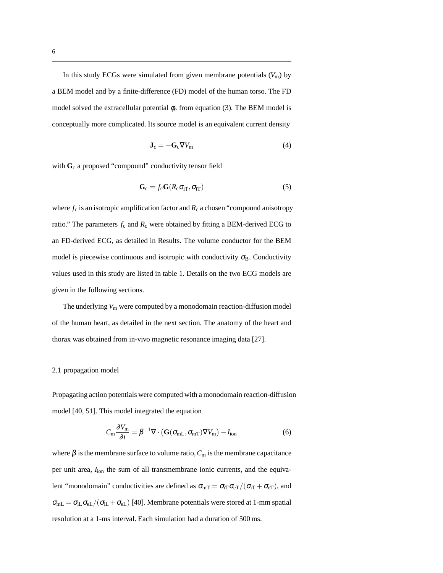In this study ECGs were simulated from given membrane potentials  $(V<sub>m</sub>)$  by a BEM model and by a finite-difference (FD) model of the human torso. The FD model solved the extracellular potential  $\phi_e$  from equation (3). The BEM model is conceptually more complicated. Its source model is an equivalent current density

$$
\mathbf{J}_{\rm c} = -\mathbf{G}_{\rm c}\nabla V_{\rm m} \tag{4}
$$

with G<sub>c</sub> a proposed "compound" conductivity tensor field

$$
\mathbf{G}_{\rm c} = f_{\rm c} \mathbf{G} (R_{\rm c} \sigma_{\rm iT}, \sigma_{\rm iT}) \tag{5}
$$

where  $f_c$  is an isotropic amplification factor and  $R_c$  a chosen "compound anisotropy" ratio." The parameters  $f_c$  and  $R_c$  were obtained by fitting a BEM-derived ECG to an FD-derived ECG, as detailed in Results. The volume conductor for the BEM model is piecewise continuous and isotropic with conductivity  $\sigma_B$ . Conductivity values used in this study are listed in table 1. Details on the two ECG models are given in the following sections.

The underlying  $V_m$  were computed by a monodomain reaction-diffusion model of the human heart, as detailed in the next section. The anatomy of the heart and thorax was obtained from in-vivo magnetic resonance imaging data [27].

#### 2.1 propagation model

Propagating action potentials were computed with a monodomain reaction-diffusion model [40, 51]. This model integrated the equation

$$
C_{\rm m} \frac{\partial V_{\rm m}}{\partial t} = \beta^{-1} \nabla \cdot \left( \mathbf{G}(\sigma_{\rm mL}, \sigma_{\rm mT}) \nabla V_{\rm m} \right) - I_{\rm ion}
$$
 (6)

where  $\beta$  is the membrane surface to volume ratio,  $C_m$  is the membrane capacitance per unit area,  $I_{\text{ion}}$  the sum of all transmembrane ionic currents, and the equivalent "monodomain" conductivities are defined as  $\sigma_{mT} = \sigma_{iT}\sigma_{eT}/(\sigma_{iT} + \sigma_{eT})$ , and  $\sigma_{mL} = \sigma_{iL} \sigma_{eL}/(\sigma_{iL} + \sigma_{eL})$  [40]. Membrane potentials were stored at 1-mm spatial resolution at a 1-ms interval. Each simulation had a duration of 500 ms.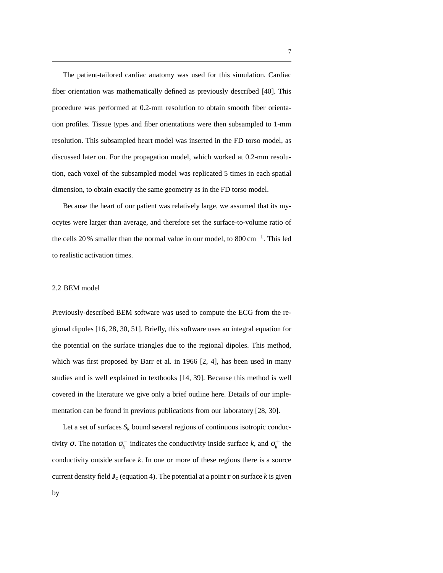The patient-tailored cardiac anatomy was used for this simulation. Cardiac fiber orientation was mathematically defined as previously described [40]. This procedure was performed at 0.2-mm resolution to obtain smooth fiber orientation profiles. Tissue types and fiber orientations were then subsampled to 1-mm resolution. This subsampled heart model was inserted in the FD torso model, as discussed later on. For the propagation model, which worked at 0.2-mm resolution, each voxel of the subsampled model was replicated 5 times in each spatial dimension, to obtain exactly the same geometry as in the FD torso model.

Because the heart of our patient was relatively large, we assumed that its myocytes were larger than average, and therefore set the surface-to-volume ratio of the cells 20 % smaller than the normal value in our model, to 800 cm−<sup>1</sup> . This led to realistic activation times.

#### 2.2 BEM model

Previously-described BEM software was used to compute the ECG from the regional dipoles [16, 28, 30, 51]. Briefly, this software uses an integral equation for the potential on the surface triangles due to the regional dipoles. This method, which was first proposed by Barr et al. in 1966 [2, 4], has been used in many studies and is well explained in textbooks [14, 39]. Because this method is well covered in the literature we give only a brief outline here. Details of our implementation can be found in previous publications from our laboratory [28, 30].

Let a set of surfaces  $S_k$  bound several regions of continuous isotropic conductivity  $\sigma$ . The notation  $\sigma_k^-$  indicates the conductivity inside surface *k*, and  $\sigma_k^+$  the conductivity outside surface *k*. In one or more of these regions there is a source current density field  $J_c$  (equation 4). The potential at a point **r** on surface *k* is given by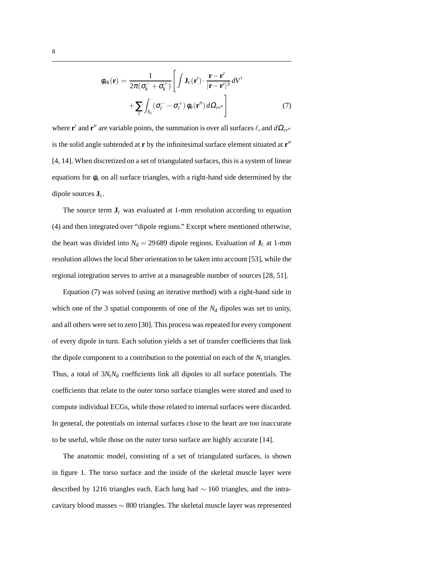$$
\phi_{ek}(\mathbf{r}) = \frac{1}{2\pi(\sigma_k^- + \sigma_k^+)} \left[ \int \mathbf{J}_c(\mathbf{r}') \cdot \frac{\mathbf{r} - \mathbf{r}'}{|\mathbf{r} - \mathbf{r}'|^3} dV' + \sum_{\ell} \int_{S_{\ell}} (\sigma_{\ell}^- - \sigma_{\ell}^+) \phi_e(\mathbf{r}'') d\Omega_{rr''} \right]
$$
(7)

where **r'** and **r''** are variable points, the summation is over all surfaces  $\ell$ , and  $d\Omega_{rr}$ <sup>*n*</sup> is the solid angle subtended at **r** by the infinitesimal surface element situated at **r** ′′ [4, 14]. When discretized on a set of triangulated surfaces, this is a system of linear equations for  $\phi_e$  on all surface triangles, with a right-hand side determined by the dipole sources  $\mathbf{J}_c$ .

The source term  $J_c$  was evaluated at 1-mm resolution according to equation (4) and then integrated over "dipole regions." Except where mentioned otherwise, the heart was divided into  $N_d = 29689$  dipole regions. Evaluation of  $J_c$  at 1-mm resolution allows the local fiber orientation to be taken into account [53], while the regional integration serves to arrive at a manageable number of sources [28, 51].

Equation (7) was solved (using an iterative method) with a right-hand side in which one of the 3 spatial components of one of the  $N_d$  dipoles was set to unity, and all others were set to zero [30]. This process was repeated for every component of every dipole in turn. Each solution yields a set of transfer coefficients that link the dipole component to a contribution to the potential on each of the  $N_t$  triangles. Thus, a total of  $3N_tN_d$  coefficients link all dipoles to all surface potentials. The coefficients that relate to the outer torso surface triangles were stored and used to compute individual ECGs, while those related to internal surfaces were discarded. In general, the potentials on internal surfaces close to the heart are too inaccurate to be useful, while those on the outer torso surface are highly accurate [14].

The anatomic model, consisting of a set of triangulated surfaces, is shown in figure 1. The torso surface and the inside of the skeletal muscle layer were described by 1216 triangles each. Each lung had ∼ 160 triangles, and the intracavitary blood masses ∼ 800 triangles. The skeletal muscle layer was represented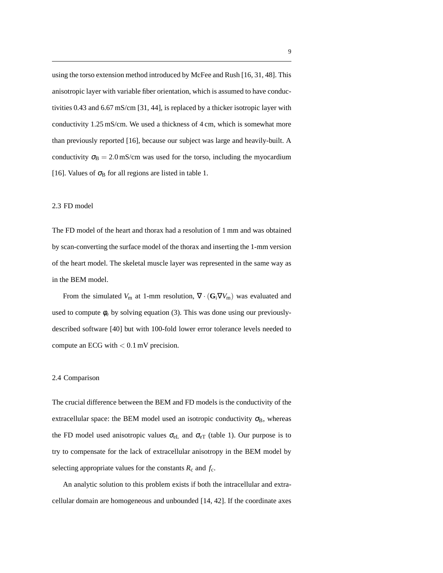using the torso extension method introduced by McFee and Rush [16, 31, 48]. This anisotropic layer with variable fiber orientation, which is assumed to have conductivities 0.43 and 6.67 mS/cm [31, 44], is replaced by a thicker isotropic layer with conductivity 1.25 mS/cm. We used a thickness of 4 cm, which is somewhat more than previously reported [16], because our subject was large and heavily-built. A conductivity  $\sigma_B = 2.0 \text{ mS/cm}$  was used for the torso, including the myocardium [16]. Values of  $\sigma_B$  for all regions are listed in table 1.

#### 2.3 FD model

The FD model of the heart and thorax had a resolution of 1 mm and was obtained by scan-converting the surface model of the thorax and inserting the 1-mm version of the heart model. The skeletal muscle layer was represented in the same way as in the BEM model.

From the simulated  $V_m$  at 1-mm resolution,  $\nabla \cdot (\mathbf{G}_i \nabla V_m)$  was evaluated and used to compute  $\phi_e$  by solving equation (3). This was done using our previouslydescribed software [40] but with 100-fold lower error tolerance levels needed to compute an ECG with  $< 0.1$  mV precision.

#### 2.4 Comparison

The crucial difference between the BEM and FD models is the conductivity of the extracellular space: the BEM model used an isotropic conductivity  $\sigma_B$ , whereas the FD model used anisotropic values  $\sigma_{eL}$  and  $\sigma_{eT}$  (table 1). Our purpose is to try to compensate for the lack of extracellular anisotropy in the BEM model by selecting appropriate values for the constants  $R_c$  and  $f_c$ .

An analytic solution to this problem exists if both the intracellular and extracellular domain are homogeneous and unbounded [14, 42]. If the coordinate axes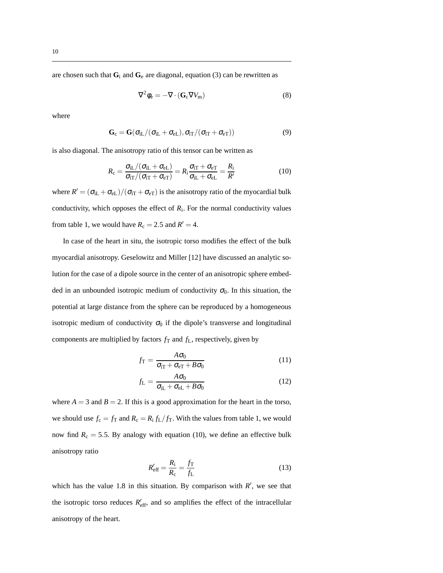are chosen such that  $G_i$  and  $G_e$  are diagonal, equation (3) can be rewritten as

$$
\nabla^2 \phi_e = -\nabla \cdot (\mathbf{G}_c \nabla V_m) \tag{8}
$$

where

$$
\mathbf{G}_{c} = \mathbf{G}(\sigma_{iL}/(\sigma_{iL} + \sigma_{eL}), \sigma_{iT}/(\sigma_{iT} + \sigma_{eT}))
$$
\n(9)

is also diagonal. The anisotropy ratio of this tensor can be written as

$$
R_{\rm c} = \frac{\sigma_{\rm iL}/(\sigma_{\rm iL} + \sigma_{\rm eL})}{\sigma_{\rm iT}/(\sigma_{\rm iT} + \sigma_{\rm eT})} = R_{\rm i} \frac{\sigma_{\rm iT} + \sigma_{\rm eT}}{\sigma_{\rm iL} + \sigma_{\rm eL}} = \frac{R_{\rm i}}{R'} \tag{10}
$$

where  $R' = (\sigma_{iL} + \sigma_{eL})/(\sigma_{iT} + \sigma_{eT})$  is the anisotropy ratio of the myocardial bulk conductivity, which opposes the effect of  $R_i$ . For the normal conductivity values from table 1, we would have  $R_c = 2.5$  and  $R' = 4$ .

In case of the heart in situ, the isotropic torso modifies the effect of the bulk myocardial anisotropy. Geselowitz and Miller [12] have discussed an analytic solution for the case of a dipole source in the center of an anisotropic sphere embedded in an unbounded isotropic medium of conductivity  $\sigma_0$ . In this situation, the potential at large distance from the sphere can be reproduced by a homogeneous isotropic medium of conductivity  $\sigma_0$  if the dipole's transverse and longitudinal components are multiplied by factors  $f_T$  and  $f_L$ , respectively, given by

$$
f_{\rm T} = \frac{A\sigma_0}{\sigma_{\rm iT} + \sigma_{\rm eT} + B\sigma_0} \tag{11}
$$

$$
f_{\rm L} = \frac{A\sigma_0}{\sigma_{\rm iL} + \sigma_{\rm eL} + B\sigma_0} \tag{12}
$$

where  $A = 3$  and  $B = 2$ . If this is a good approximation for the heart in the torso, we should use  $f_c = f_T$  and  $R_c = R_i f_L / f_T$ . With the values from table 1, we would now find  $R_c = 5.5$ . By analogy with equation (10), we define an effective bulk anisotropy ratio

$$
R'_{\text{eff}} = \frac{R_{\text{i}}}{R_{\text{c}}} = \frac{f_{\text{T}}}{f_{\text{L}}}
$$
(13)

which has the value 1.8 in this situation. By comparison with  $R'$ , we see that the isotropic torso reduces  $R'_{\text{eff}}$ , and so amplifies the effect of the intracellular anisotropy of the heart.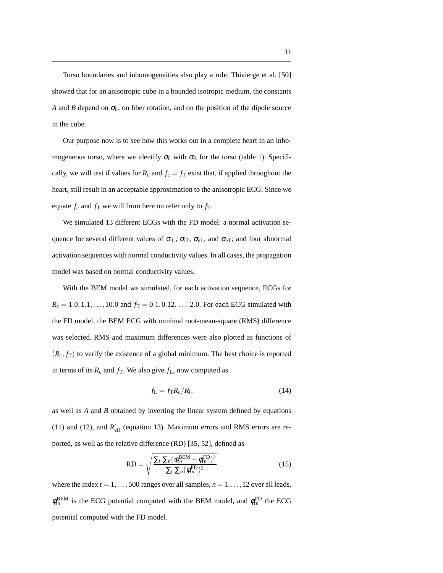Torso boundaries and inhomogeneities also play a role. Thivierge et al. [50] showed that for an anisotropic cube in a bounded isotropic medium, the constants *A* and *B* depend on  $\sigma_0$ , on fiber rotation, and on the position of the dipole source in the cube.

Our purpose now is to see how this works out in a complete heart in an inhomogeneous torso, where we identify  $\sigma_0$  with  $\sigma_B$  for the torso (table 1). Specifically, we will test if values for  $R_c$  and  $f_c = f_T$  exist that, if applied throughout the heart, still result in an acceptable approximation to the anisotropic ECG. Since we equate  $f_c$  and  $f_T$  we will from here on refer only to  $f_T$ .

We simulated 13 different ECGs with the FD model: a normal activation sequence for several different values of  $\sigma_{iL}$ ,  $\sigma_{iT}$ ,  $\sigma_{eL}$ , and  $\sigma_{eT}$ ; and four abnormal activation sequences with normal conductivity values. In all cases, the propagation model was based on normal conductivity values.

With the BEM model we simulated, for each activation sequence, ECGs for  $R_c = 1.0, 1.1, ..., 10.0$  and  $f_T = 0.1, 0.12, ..., 2.0$ . For each ECG simulated with the FD model, the BEM ECG with minimal root-mean-square (RMS) difference was selected. RMS and maximum differences were also plotted as functions of  $(R_c, f_T)$  to verify the existence of a global minimum. The best choice is reported in terms of its  $R_c$  and  $f_T$ . We also give  $f_L$ , now computed as

$$
f_{\rm L} = f_{\rm T} R_{\rm c} / R_{\rm i},\tag{14}
$$

as well as *A* and *B* obtained by inverting the linear system defined by equations (11) and (12), and  $R'_{\text{eff}}$  (equation 13). Maximum errors and RMS errors are reported, as well as the relative difference (RD) [35, 52], defined as

$$
RD = \sqrt{\frac{\sum_{t} \sum_{n} (\phi_{tn}^{BEM} - \phi_{tn}^{FD})^2}{\sum_{t} \sum_{n} (\phi_{tn}^{FD})^2}}
$$
(15)

where the index  $t = 1, \ldots, 500$  ranges over all samples,  $n = 1, \ldots, 12$  over all leads,  $\phi_{tn}^{\text{BEM}}$  is the ECG potential computed with the BEM model, and  $\phi_{tn}^{\text{FD}}$  the ECG potential computed with the FD model.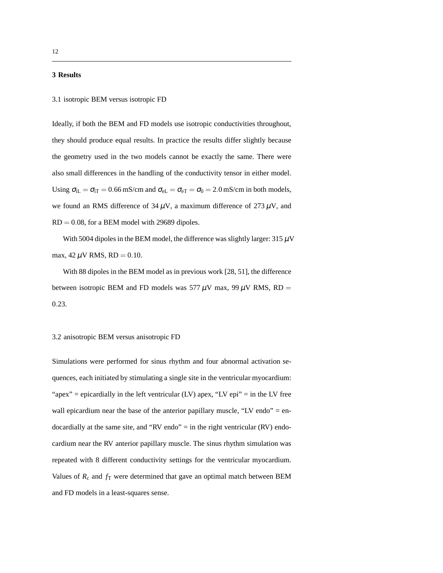#### **3 Results**

#### 3.1 isotropic BEM versus isotropic FD

Ideally, if both the BEM and FD models use isotropic conductivities throughout, they should produce equal results. In practice the results differ slightly because the geometry used in the two models cannot be exactly the same. There were also small differences in the handling of the conductivity tensor in either model. Using  $\sigma_{iL} = \sigma_{iT} = 0.66$  mS/cm and  $\sigma_{eL} = \sigma_{eT} = \sigma_0 = 2.0$  mS/cm in both models, we found an RMS difference of  $34 \mu V$ , a maximum difference of  $273 \mu V$ , and  $RD = 0.08$ , for a BEM model with 29689 dipoles.

With 5004 dipoles in the BEM model, the difference was slightly larger:  $315 \mu$ V max,  $42 \mu V$  RMS, RD = 0.10.

With 88 dipoles in the BEM model as in previous work [28, 51], the difference between isotropic BEM and FD models was 577  $\mu$ V max, 99  $\mu$ V RMS, RD = 0.23.

#### 3.2 anisotropic BEM versus anisotropic FD

Simulations were performed for sinus rhythm and four abnormal activation sequences, each initiated by stimulating a single site in the ventricular myocardium: "apex" = epicardially in the left ventricular (LV) apex, "LV epi" = in the LV free wall epicardium near the base of the anterior papillary muscle, "LV endo"  $=$  endocardially at the same site, and "RV endo"  $=$  in the right ventricular (RV) endocardium near the RV anterior papillary muscle. The sinus rhythm simulation was repeated with 8 different conductivity settings for the ventricular myocardium. Values of  $R_c$  and  $f_T$  were determined that gave an optimal match between BEM and FD models in a least-squares sense.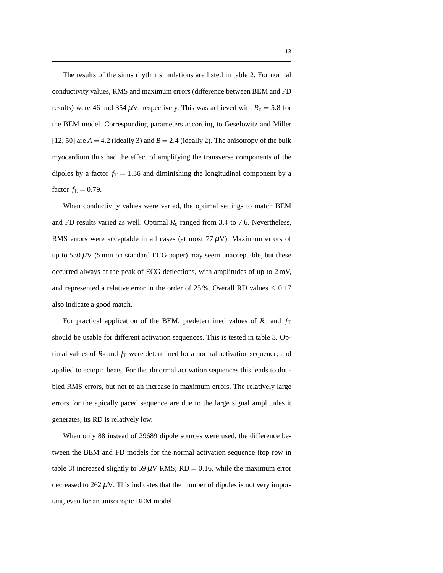The results of the sinus rhythm simulations are listed in table 2. For normal conductivity values, RMS and maximum errors (difference between BEM and FD results) were 46 and 354  $\mu$ V, respectively. This was achieved with  $R_c = 5.8$  for the BEM model. Corresponding parameters according to Geselowitz and Miller [12, 50] are  $A = 4.2$  (ideally 3) and  $B = 2.4$  (ideally 2). The anisotropy of the bulk myocardium thus had the effect of amplifying the transverse components of the dipoles by a factor  $f<sub>T</sub> = 1.36$  and diminishing the longitudinal component by a factor  $f_{L} = 0.79$ .

When conductivity values were varied, the optimal settings to match BEM and FD results varied as well. Optimal  $R_c$  ranged from 3.4 to 7.6. Nevertheless, RMS errors were acceptable in all cases (at most  $77 \mu$ V). Maximum errors of up to  $530 \mu$ V (5 mm on standard ECG paper) may seem unacceptable, but these occurred always at the peak of ECG deflections, with amplitudes of up to 2 mV, and represented a relative error in the order of 25 %. Overall RD values  $\leq 0.17$ also indicate a good match.

For practical application of the BEM, predetermined values of  $R_c$  and  $f_T$ should be usable for different activation sequences. This is tested in table 3. Optimal values of  $R_c$  and  $f_T$  were determined for a normal activation sequence, and applied to ectopic beats. For the abnormal activation sequences this leads to doubled RMS errors, but not to an increase in maximum errors. The relatively large errors for the apically paced sequence are due to the large signal amplitudes it generates; its RD is relatively low.

When only 88 instead of 29689 dipole sources were used, the difference between the BEM and FD models for the normal activation sequence (top row in table 3) increased slightly to 59  $\mu$ V RMS; RD = 0.16, while the maximum error decreased to  $262 \mu V$ . This indicates that the number of dipoles is not very important, even for an anisotropic BEM model.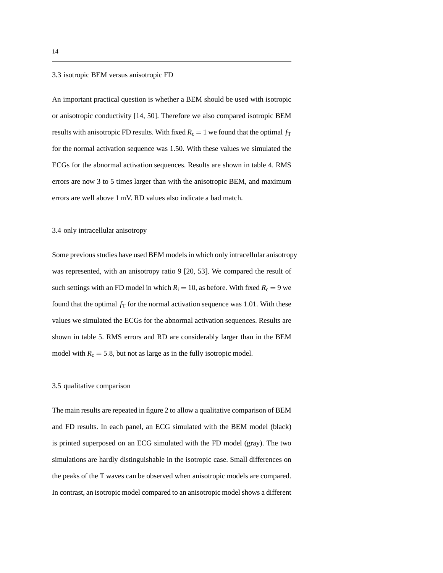#### 3.3 isotropic BEM versus anisotropic FD

An important practical question is whether a BEM should be used with isotropic or anisotropic conductivity [14, 50]. Therefore we also compared isotropic BEM results with anisotropic FD results. With fixed  $R_c = 1$  we found that the optimal  $f<sub>T</sub>$ for the normal activation sequence was 1.50. With these values we simulated the ECGs for the abnormal activation sequences. Results are shown in table 4. RMS errors are now 3 to 5 times larger than with the anisotropic BEM, and maximum errors are well above 1 mV. RD values also indicate a bad match.

#### 3.4 only intracellular anisotropy

Some previous studies have used BEM models in which only intracellular anisotropy was represented, with an anisotropy ratio 9 [20, 53]. We compared the result of such settings with an FD model in which  $R_i = 10$ , as before. With fixed  $R_c = 9$  we found that the optimal  $f<sub>T</sub>$  for the normal activation sequence was 1.01. With these values we simulated the ECGs for the abnormal activation sequences. Results are shown in table 5. RMS errors and RD are considerably larger than in the BEM model with  $R_c = 5.8$ , but not as large as in the fully isotropic model.

#### 3.5 qualitative comparison

The main results are repeated in figure 2 to allow a qualitative comparison of BEM and FD results. In each panel, an ECG simulated with the BEM model (black) is printed superposed on an ECG simulated with the FD model (gray). The two simulations are hardly distinguishable in the isotropic case. Small differences on the peaks of the T waves can be observed when anisotropic models are compared. In contrast, an isotropic model compared to an anisotropic model shows a different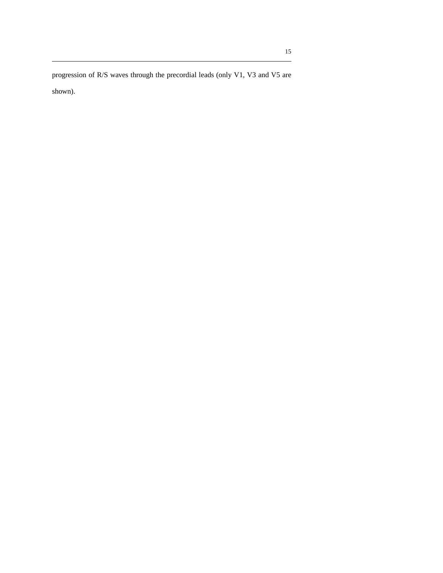progression of R/S waves through the precordial leads (only V1, V3 and V5 are shown).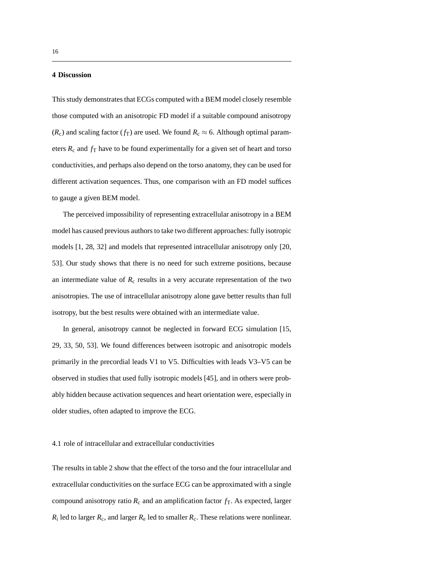#### **4 Discussion**

This study demonstrates that ECGs computed with a BEM model closely resemble those computed with an anisotropic FD model if a suitable compound anisotropy ( $R_c$ ) and scaling factor ( $f_T$ ) are used. We found  $R_c \approx 6$ . Although optimal parameters  $R_c$  and  $f_T$  have to be found experimentally for a given set of heart and torso conductivities, and perhaps also depend on the torso anatomy, they can be used for different activation sequences. Thus, one comparison with an FD model suffices to gauge a given BEM model.

The perceived impossibility of representing extracellular anisotropy in a BEM model has caused previous authors to take two different approaches: fully isotropic models [1, 28, 32] and models that represented intracellular anisotropy only [20, 53]. Our study shows that there is no need for such extreme positions, because an intermediate value of  $R_c$  results in a very accurate representation of the two anisotropies. The use of intracellular anisotropy alone gave better results than full isotropy, but the best results were obtained with an intermediate value.

In general, anisotropy cannot be neglected in forward ECG simulation [15, 29, 33, 50, 53]. We found differences between isotropic and anisotropic models primarily in the precordial leads V1 to V5. Difficulties with leads V3–V5 can be observed in studies that used fully isotropic models [45], and in others were probably hidden because activation sequences and heart orientation were, especially in older studies, often adapted to improve the ECG.

#### 4.1 role of intracellular and extracellular conductivities

The results in table 2 show that the effect of the torso and the four intracellular and extracellular conductivities on the surface ECG can be approximated with a single compound anisotropy ratio  $R_c$  and an amplification factor  $f<sub>T</sub>$ . As expected, larger  $R_i$  led to larger  $R_c$ , and larger  $R_e$  led to smaller  $R_c$ . These relations were nonlinear.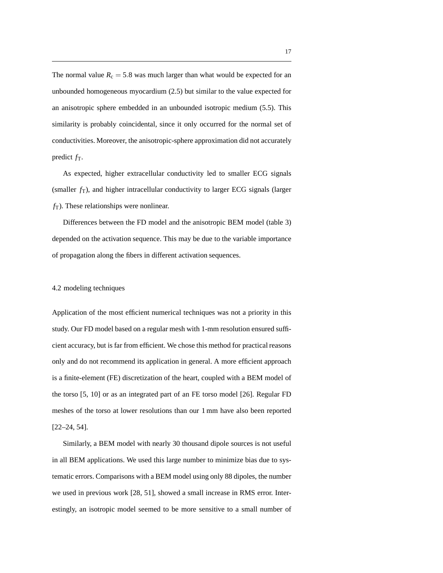The normal value  $R_c = 5.8$  was much larger than what would be expected for an unbounded homogeneous myocardium (2.5) but similar to the value expected for an anisotropic sphere embedded in an unbounded isotropic medium (5.5). This similarity is probably coincidental, since it only occurred for the normal set of conductivities. Moreover, the anisotropic-sphere approximation did not accurately predict  $f<sub>T</sub>$ .

As expected, higher extracellular conductivity led to smaller ECG signals (smaller  $f_T$ ), and higher intracellular conductivity to larger ECG signals (larger  $f<sub>T</sub>$ ). These relationships were nonlinear.

Differences between the FD model and the anisotropic BEM model (table 3) depended on the activation sequence. This may be due to the variable importance of propagation along the fibers in different activation sequences.

#### 4.2 modeling techniques

Application of the most efficient numerical techniques was not a priority in this study. Our FD model based on a regular mesh with 1-mm resolution ensured sufficient accuracy, but is far from efficient. We chose this method for practical reasons only and do not recommend its application in general. A more efficient approach is a finite-element (FE) discretization of the heart, coupled with a BEM model of the torso [5, 10] or as an integrated part of an FE torso model [26]. Regular FD meshes of the torso at lower resolutions than our 1 mm have also been reported [22–24, 54].

Similarly, a BEM model with nearly 30 thousand dipole sources is not useful in all BEM applications. We used this large number to minimize bias due to systematic errors. Comparisons with a BEM model using only 88 dipoles, the number we used in previous work [28, 51], showed a small increase in RMS error. Interestingly, an isotropic model seemed to be more sensitive to a small number of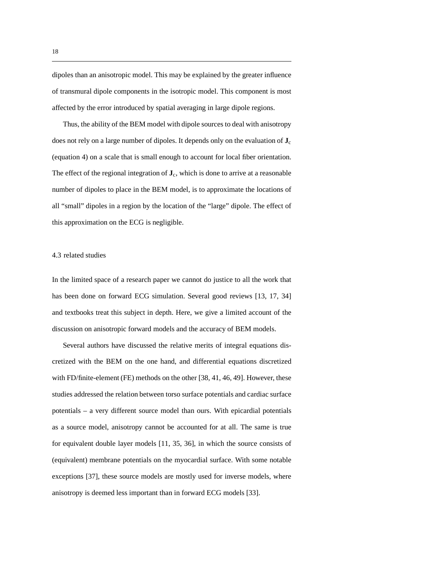dipoles than an anisotropic model. This may be explained by the greater influence of transmural dipole components in the isotropic model. This component is most affected by the error introduced by spatial averaging in large dipole regions.

Thus, the ability of the BEM model with dipole sources to deal with anisotropy does not rely on a large number of dipoles. It depends only on the evaluation of **J**<sup>c</sup> (equation 4) on a scale that is small enough to account for local fiber orientation. The effect of the regional integration of  $\mathbf{J}_c$ , which is done to arrive at a reasonable number of dipoles to place in the BEM model, is to approximate the locations of all "small" dipoles in a region by the location of the "large" dipole. The effect of this approximation on the ECG is negligible.

#### 4.3 related studies

In the limited space of a research paper we cannot do justice to all the work that has been done on forward ECG simulation. Several good reviews [13, 17, 34] and textbooks treat this subject in depth. Here, we give a limited account of the discussion on anisotropic forward models and the accuracy of BEM models.

Several authors have discussed the relative merits of integral equations discretized with the BEM on the one hand, and differential equations discretized with FD/finite-element (FE) methods on the other [38, 41, 46, 49]. However, these studies addressed the relation between torso surface potentials and cardiac surface potentials – a very different source model than ours. With epicardial potentials as a source model, anisotropy cannot be accounted for at all. The same is true for equivalent double layer models [11, 35, 36], in which the source consists of (equivalent) membrane potentials on the myocardial surface. With some notable exceptions [37], these source models are mostly used for inverse models, where anisotropy is deemed less important than in forward ECG models [33].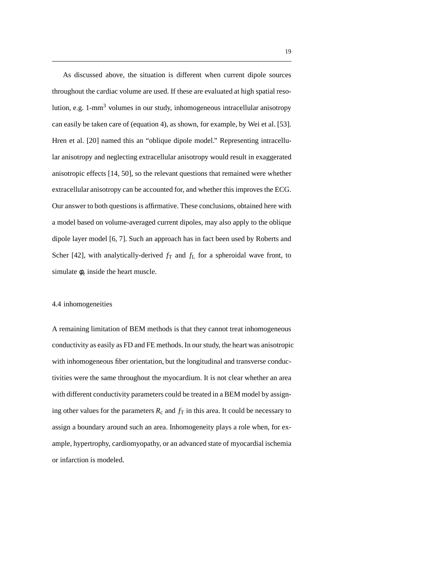As discussed above, the situation is different when current dipole sources throughout the cardiac volume are used. If these are evaluated at high spatial resolution, e.g. 1-mm<sup>3</sup> volumes in our study, inhomogeneous intracellular anisotropy can easily be taken care of (equation 4), as shown, for example, by Wei et al. [53]. Hren et al. [20] named this an "oblique dipole model." Representing intracellular anisotropy and neglecting extracellular anisotropy would result in exaggerated anisotropic effects [14, 50], so the relevant questions that remained were whether extracellular anisotropy can be accounted for, and whether this improves the ECG. Our answer to both questions is affirmative. These conclusions, obtained here with a model based on volume-averaged current dipoles, may also apply to the oblique dipole layer model [6, 7]. Such an approach has in fact been used by Roberts and Scher [42], with analytically-derived  $f_T$  and  $f_L$  for a spheroidal wave front, to simulate  $\phi_e$  inside the heart muscle.

#### 4.4 inhomogeneities

A remaining limitation of BEM methods is that they cannot treat inhomogeneous conductivity as easily as FD and FE methods. In our study, the heart was anisotropic with inhomogeneous fiber orientation, but the longitudinal and transverse conductivities were the same throughout the myocardium. It is not clear whether an area with different conductivity parameters could be treated in a BEM model by assigning other values for the parameters  $R_c$  and  $f<sub>T</sub>$  in this area. It could be necessary to assign a boundary around such an area. Inhomogeneity plays a role when, for example, hypertrophy, cardiomyopathy, or an advanced state of myocardial ischemia or infarction is modeled.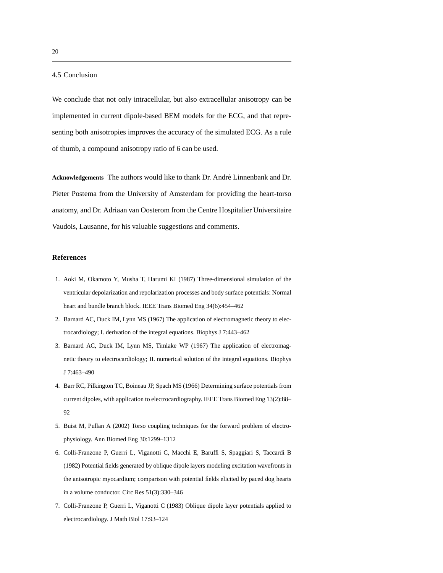4.5 Conclusion

We conclude that not only intracellular, but also extracellular anisotropy can be implemented in current dipole-based BEM models for the ECG, and that representing both anisotropies improves the accuracy of the simulated ECG. As a rule of thumb, a compound anisotropy ratio of 6 can be used.

Acknowledgements The authors would like to thank Dr. André Linnenbank and Dr. Pieter Postema from the University of Amsterdam for providing the heart-torso anatomy, and Dr. Adriaan van Oosterom from the Centre Hospitalier Universitaire Vaudois, Lausanne, for his valuable suggestions and comments.

#### **References**

- 1. Aoki M, Okamoto Y, Musha T, Harumi KI (1987) Three-dimensional simulation of the ventricular depolarization and repolarization processes and body surface potentials: Normal heart and bundle branch block. IEEE Trans Biomed Eng 34(6):454–462
- 2. Barnard AC, Duck IM, Lynn MS (1967) The application of electromagnetic theory to electrocardiology; I. derivation of the integral equations. Biophys J 7:443–462
- 3. Barnard AC, Duck IM, Lynn MS, Timlake WP (1967) The application of electromagnetic theory to electrocardiology; II. numerical solution of the integral equations. Biophys J 7:463–490
- 4. Barr RC, Pilkington TC, Boineau JP, Spach MS (1966) Determining surface potentials from current dipoles, with application to electrocardiography. IEEE Trans Biomed Eng 13(2):88– 92
- 5. Buist M, Pullan A (2002) Torso coupling techniques for the forward problem of electrophysiology. Ann Biomed Eng 30:1299–1312
- 6. Colli-Franzone P, Guerri L, Viganotti C, Macchi E, Baruffi S, Spaggiari S, Taccardi B (1982) Potential fields generated by oblique dipole layers modeling excitation wavefronts in the anisotropic myocardium; comparison with potential fields elicited by paced dog hearts in a volume conductor. Circ Res 51(3):330–346
- 7. Colli-Franzone P, Guerri L, Viganotti C (1983) Oblique dipole layer potentials applied to electrocardiology. J Math Biol 17:93–124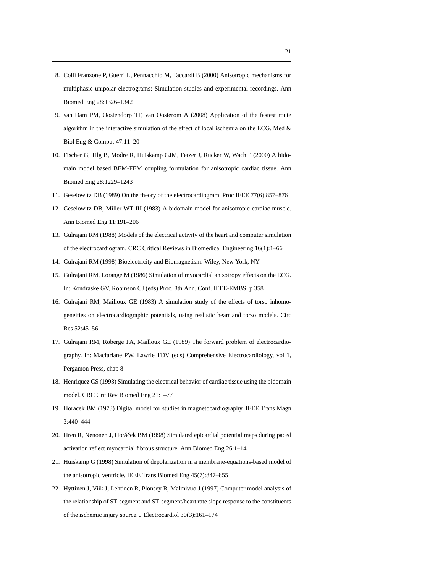- 8. Colli Franzone P, Guerri L, Pennacchio M, Taccardi B (2000) Anisotropic mechanisms for multiphasic unipolar electrograms: Simulation studies and experimental recordings. Ann Biomed Eng 28:1326–1342
- 9. van Dam PM, Oostendorp TF, van Oosterom A (2008) Application of the fastest route algorithm in the interactive simulation of the effect of local ischemia on the ECG. Med & Biol Eng & Comput 47:11–20
- 10. Fischer G, Tilg B, Modre R, Huiskamp GJM, Fetzer J, Rucker W, Wach P (2000) A bidomain model based BEM-FEM coupling formulation for anisotropic cardiac tissue. Ann Biomed Eng 28:1229–1243
- 11. Geselowitz DB (1989) On the theory of the electrocardiogram. Proc IEEE 77(6):857–876
- 12. Geselowitz DB, Miller WT III (1983) A bidomain model for anisotropic cardiac muscle. Ann Biomed Eng 11:191–206
- 13. Gulrajani RM (1988) Models of the electrical activity of the heart and computer simulation of the electrocardiogram. CRC Critical Reviews in Biomedical Engineering 16(1):1–66
- 14. Gulrajani RM (1998) Bioelectricity and Biomagnetism. Wiley, New York, NY
- 15. Gulrajani RM, Lorange M (1986) Simulation of myocardial anisotropy effects on the ECG. In: Kondraske GV, Robinson CJ (eds) Proc. 8th Ann. Conf. IEEE-EMBS, p 358
- 16. Gulrajani RM, Mailloux GE (1983) A simulation study of the effects of torso inhomogeneities on electrocardiographic potentials, using realistic heart and torso models. Circ Res 52:45–56
- 17. Gulrajani RM, Roberge FA, Mailloux GE (1989) The forward problem of electrocardiography. In: Macfarlane PW, Lawrie TDV (eds) Comprehensive Electrocardiology, vol 1, Pergamon Press, chap 8
- 18. Henriquez CS (1993) Simulating the electrical behavior of cardiac tissue using the bidomain model. CRC Crit Rev Biomed Eng 21:1–77
- 19. Horacek BM (1973) Digital model for studies in magnetocardiography. IEEE Trans Magn 3:440–444
- 20. Hren R, Nenonen J, Horáček BM (1998) Simulated epicardial potential maps during paced activation reflect myocardial fibrous structure. Ann Biomed Eng 26:1–14
- 21. Huiskamp G (1998) Simulation of depolarization in a membrane-equations-based model of the anisotropic ventricle. IEEE Trans Biomed Eng 45(7):847–855
- 22. Hyttinen J, Viik J, Lehtinen R, Plonsey R, Malmivuo J (1997) Computer model analysis of the relationship of ST-segment and ST-segment/heart rate slope response to the constituents of the ischemic injury source. J Electrocardiol 30(3):161–174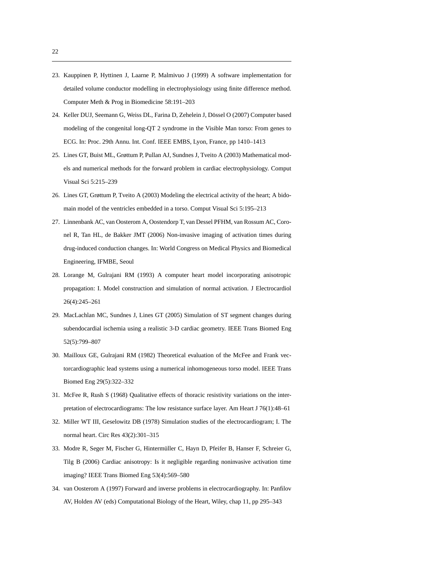- 23. Kauppinen P, Hyttinen J, Laarne P, Malmivuo J (1999) A software implementation for detailed volume conductor modelling in electrophysiology using finite difference method. Computer Meth & Prog in Biomedicine 58:191–203
- 24. Keller DUJ, Seemann G, Weiss DL, Farina D, Zehelein J, Dössel O (2007) Computer based modeling of the congenital long-QT 2 syndrome in the Visible Man torso: From genes to ECG. In: Proc. 29th Annu. Int. Conf. IEEE EMBS, Lyon, France, pp 1410–1413
- 25. Lines GT, Buist ML, Grøttum P, Pullan AJ, Sundnes J, Tveito A (2003) Mathematical models and numerical methods for the forward problem in cardiac electrophysiology. Comput Visual Sci 5:215–239
- 26. Lines GT, Grøttum P, Tveito A (2003) Modeling the electrical activity of the heart; A bidomain model of the ventricles embedded in a torso. Comput Visual Sci 5:195–213
- 27. Linnenbank AC, van Oosterom A, Oostendorp T, van Dessel PFHM, van Rossum AC, Coronel R, Tan HL, de Bakker JMT (2006) Non-invasive imaging of activation times during drug-induced conduction changes. In: World Congress on Medical Physics and Biomedical Engineering, IFMBE, Seoul
- 28. Lorange M, Gulrajani RM (1993) A computer heart model incorporating anisotropic propagation: I. Model construction and simulation of normal activation. J Electrocardiol 26(4):245–261
- 29. MacLachlan MC, Sundnes J, Lines GT (2005) Simulation of ST segment changes during subendocardial ischemia using a realistic 3-D cardiac geometry. IEEE Trans Biomed Eng 52(5):799–807
- 30. Mailloux GE, Gulrajani RM (1982) Theoretical evaluation of the McFee and Frank vectorcardiographic lead systems using a numerical inhomogeneous torso model. IEEE Trans Biomed Eng 29(5):322–332
- 31. McFee R, Rush S (1968) Qualitative effects of thoracic resistivity variations on the interpretation of electrocardiograms: The low resistance surface layer. Am Heart J 76(1):48–61
- 32. Miller WT III, Geselowitz DB (1978) Simulation studies of the electrocardiogram; I. The normal heart. Circ Res 43(2):301–315
- 33. Modre R, Seger M, Fischer G, Hintermüller C, Hayn D, Pfeifer B, Hanser F, Schreier G, Tilg B (2006) Cardiac anisotropy: Is it negligible regarding noninvasive activation time imaging? IEEE Trans Biomed Eng 53(4):569–580
- 34. van Oosterom A (1997) Forward and inverse problems in electrocardiography. In: Panfilov AV, Holden AV (eds) Computational Biology of the Heart, Wiley, chap 11, pp 295–343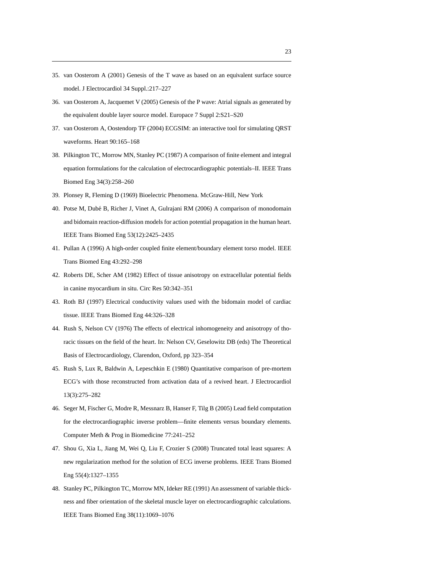- 35. van Oosterom A (2001) Genesis of the T wave as based on an equivalent surface source model. J Electrocardiol 34 Suppl.:217–227
- 36. van Oosterom A, Jacquemet V (2005) Genesis of the P wave: Atrial signals as generated by the equivalent double layer source model. Europace 7 Suppl 2:S21–S20
- 37. van Oosterom A, Oostendorp TF (2004) ECGSIM: an interactive tool for simulating QRST waveforms. Heart 90:165–168
- 38. Pilkington TC, Morrow MN, Stanley PC (1987) A comparison of finite element and integral equation formulations for the calculation of electrocardiographic potentials–II. IEEE Trans Biomed Eng 34(3):258–260
- 39. Plonsey R, Fleming D (1969) Bioelectric Phenomena. McGraw-Hill, New York
- 40. Potse M, Dub´e B, Richer J, Vinet A, Gulrajani RM (2006) A comparison of monodomain and bidomain reaction-diffusion models for action potential propagation in the human heart. IEEE Trans Biomed Eng 53(12):2425–2435
- 41. Pullan A (1996) A high-order coupled finite element/boundary element torso model. IEEE Trans Biomed Eng 43:292–298
- 42. Roberts DE, Scher AM (1982) Effect of tissue anisotropy on extracellular potential fields in canine myocardium in situ. Circ Res 50:342–351
- 43. Roth BJ (1997) Electrical conductivity values used with the bidomain model of cardiac tissue. IEEE Trans Biomed Eng 44:326–328
- 44. Rush S, Nelson CV (1976) The effects of electrical inhomogeneity and anisotropy of thoracic tissues on the field of the heart. In: Nelson CV, Geselowitz DB (eds) The Theoretical Basis of Electrocardiology, Clarendon, Oxford, pp 323–354
- 45. Rush S, Lux R, Baldwin A, Lepeschkin E (1980) Quantitative comparison of pre-mortem ECG's with those reconstructed from activation data of a revived heart. J Electrocardiol 13(3):275–282
- 46. Seger M, Fischer G, Modre R, Messnarz B, Hanser F, Tilg B (2005) Lead field computation for the electrocardiographic inverse problem—finite elements versus boundary elements. Computer Meth & Prog in Biomedicine 77:241–252
- 47. Shou G, Xia L, Jiang M, Wei Q, Liu F, Crozier S (2008) Truncated total least squares: A new regularization method for the solution of ECG inverse problems. IEEE Trans Biomed Eng 55(4):1327–1355
- 48. Stanley PC, Pilkington TC, Morrow MN, Ideker RE (1991) An assessment of variable thickness and fiber orientation of the skeletal muscle layer on electrocardiographic calculations. IEEE Trans Biomed Eng 38(11):1069–1076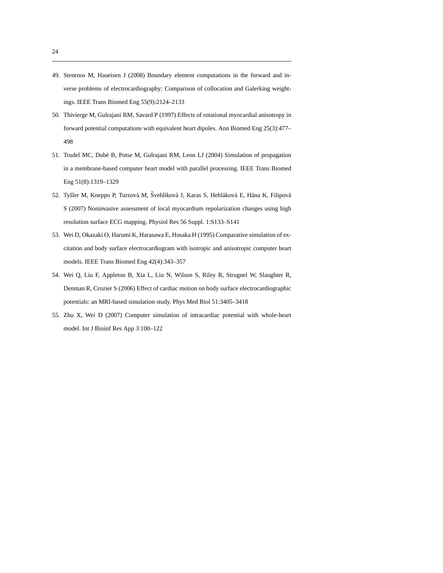- 49. Stenroos M, Haueisen J (2008) Boundary element computations in the forward and inverse problems of electrocardiography: Comparison of collocation and Galerking weightings. IEEE Trans Biomed Eng 55(9):2124–2133
- 50. Thivierge M, Gulrajani RM, Savard P (1997) Effects of rotational myocardial anisotropy in forward potential computations with equivalent heart dipoles. Ann Biomed Eng 25(3):477– 498
- 51. Trudel MC, Dub´e B, Potse M, Gulrajani RM, Leon LJ (2004) Simulation of propagation in a membrane-based computer heart model with parallel processing. IEEE Trans Biomed Eng 51(8):1319–1329
- 52. Tyšler M, Kneppo P, Turzová M, Švehlíková J, Karas S, Hebláková E, Hána K, Filipová S (2007) Noninvasive assessment of local myocardium repolarization changes using high resolution surface ECG mapping. Physiol Res 56 Suppl. 1:S133–S141
- 53. Wei D, Okazaki O, Harumi K, Harasawa E, Hosaka H (1995) Comparative simulation of excitation and body surface electrocardiogram with isotropic and anisotropic computer heart models. IEEE Trans Biomed Eng 42(4):343–357
- 54. Wei Q, Liu F, Appleton B, Xia L, Liu N, Wilson S, Riley R, Strugnel W, Slaughter R, Denman R, Crozier S (2006) Effect of cardiac motion on body surface electrocardiographic potentials: an MRI-based simulation study. Phys Med Biol 51:3405–3418
- 55. Zhu X, Wei D (2007) Computer simulation of intracardiac potential with whole-heart model. Int J Bioinf Res App 3:100–122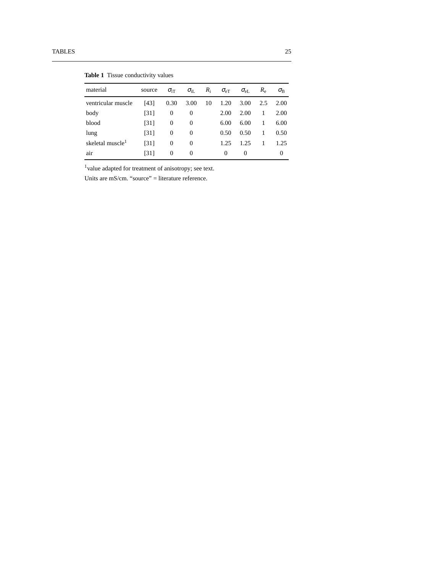| material                     | source | $\sigma_{\rm IT}$ | $\sigma_{\rm iL}$ | $R_i$ | $\sigma_{\text{eT}}$ | $\sigma_{\rm eL}$ | $R_{\scriptscriptstyle\rm e}$ | $\sigma_{\text{\tiny R}}$ |
|------------------------------|--------|-------------------|-------------------|-------|----------------------|-------------------|-------------------------------|---------------------------|
| ventricular muscle           | [43]   | 0.30              | 3.00              | 10    | 1.20                 | 3.00              | 2.5                           | 2.00                      |
| body                         | [31]   | $\overline{0}$    | 0                 |       | 2.00                 | 2.00              | 1                             | 2.00                      |
| blood                        | [31]   | $\overline{0}$    | 0                 |       | 6.00                 | 6.00              | 1                             | 6.00                      |
| lung                         | [31]   | $\overline{0}$    | 0                 |       | 0.50                 | 0.50              | 1                             | 0.50                      |
| skeletal muscle <sup>1</sup> | [31]   | $\Omega$          | $\Omega$          |       | 1.25                 | 1.25              |                               | 1.25                      |
| air                          | [31]   | $\Omega$          | $\Omega$          |       | 0                    | $\Omega$          |                               | $\theta$                  |

**Table 1** Tissue conductivity values

<sup>1</sup>value adapted for treatment of anisotropy; see text.

Units are mS/cm. "source" = literature reference.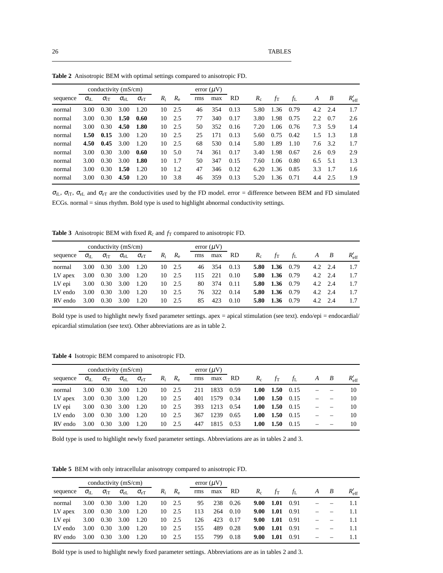|          |                    | conductivity $(mS/cm)$ |                   | error $(\mu V)$   |       |             |     |     |           |       |      |      |     |                 |                |
|----------|--------------------|------------------------|-------------------|-------------------|-------|-------------|-----|-----|-----------|-------|------|------|-----|-----------------|----------------|
| sequence | $\sigma_{\rm{ii}}$ | $\sigma_{\rm iT}$      | $\sigma_{\rm eL}$ | $\sigma_{\rm eT}$ | $R_i$ | $R_{\rm e}$ | rms | max | <b>RD</b> | $R_c$ | ĴТ   | fī.  | A   | B               | $R'_{\rm eff}$ |
| normal   | 3.00               | 0.30                   | 3.00              | 1.20              | 10    | 2.5         | 46  | 354 | 0.13      | 5.80  | 1.36 | 0.79 |     | $4.2 \quad 2.4$ | 1.7            |
| normal   | 3.00               | 0.30                   | 1.50              | 0.60              | 10    | 2.5         | 77  | 340 | 0.17      | 3.80  | 1.98 | 0.75 | 2.2 | 0.7             | 2.6            |
| normal   | 3.00               | 0.30                   | 4.50              | 1.80              | 10    | 2.5         | 50  | 352 | 0.16      | 7.20  | 1.06 | 0.76 | 7.3 | 5.9             | 1.4            |
| normal   | 1.50               | 0.15                   | 3.00              | 1.20              | 10    | 2.5         | 25  | 171 | 0.13      | 5.60  | 0.75 | 0.42 | 1.5 | 1.3             | 1.8            |
| normal   | 4.50               | 0.45                   | 3.00              | 1.20              | 10    | 2.5         | 68  | 530 | 0.14      | 5.80  | 1.89 | 1.10 | 7.6 | 3.2             | 1.7            |
| normal   | 3.00               | 0.30                   | 3.00              | 0.60              | 10    | 5.0         | 74  | 361 | 0.17      | 3.40  | 1.98 | 0.67 | 2.6 | 0.9             | 2.9            |
| normal   | 3.00               | 0.30                   | 3.00              | 1.80              | 10    | 1.7         | 50  | 347 | 0.15      | 7.60  | 1.06 | 0.80 | 6.5 | - 5.1           | 1.3            |
| normal   | 3.00               | 0.30                   | 1.50              | 1.20              | 10    | 1.2         | 47  | 346 | 0.12      | 6.20  | 1.36 | 0.85 | 3.3 | 1.7             | 1.6            |
| normal   | 3.00               | 0.30                   | 4.50              | 1.20              | 10    | 3.8         | 46  | 359 | 0.13      | 5.20  | 1.36 | 0.71 | 4.4 | 2.5             | 1.9            |

**Table 2** Anisotropic BEM with optimal settings compared to anisotropic FD.

 $\sigma_{iL}$ ,  $\sigma_{iT}$ ,  $\sigma_{eL}$  and  $\sigma_{eT}$  are the conductivities used by the FD model. error = difference between BEM and FD simulated ECGs. normal = sinus rhythm. Bold type is used to highlight abnormal conductivity settings.

**Table 3** Anisotropic BEM with fixed  $R_c$  and  $f_T$  compared to anisotropic FD.

|          | conductivity $(mS/cm)$ |                   |                   |                      |       |                |     | $error (\mu V)$ |      |       |             |             |                 |                |
|----------|------------------------|-------------------|-------------------|----------------------|-------|----------------|-----|-----------------|------|-------|-------------|-------------|-----------------|----------------|
| sequence | $\sigma_{\rm{H}}$      | $\sigma_{\rm iT}$ | $\sigma_{\rm eL}$ | $\sigma_{\text{eT}}$ | $R_i$ | $R_{\rm e}$    | rms | max             | - RD | $R_c$ | $f_{\rm T}$ | $f_{\rm L}$ | $A \quad B$     | $R'_{\rm eff}$ |
| normal   | 3.00                   | 0.30              | 3.00              | 1.20                 | 10    | 2.5            | 46  | 354             | 0.13 | 5.80  | 1.36        | 0.79        | $4.2 \quad 2.4$ | 1.7            |
| LV apex  | 3.00                   | 0.30              | 3.00              | 1.20                 |       | $10 \quad 2.5$ | 115 | 221             | 0.10 | 5.80  | 1.36        | 0.79        | $4.2 \quad 2.4$ | 1.7            |
| LV epi   | 3.00                   | 0.30              | 3.00              | 1.20                 |       | 10 2.5         | 80  | 374             | 0.11 | 5.80  | 1.36        | 0.79        | $4.2 \quad 2.4$ | 1.7            |
| LV endo  | 3.00                   | 0.30              | 3.00              | 1.20                 | 10.   | 2.5            | 76  | 322             | 0.14 | 5.80  | 1.36        | 0.79        | $4.2 \quad 2.4$ | 1.7            |
| RV endo  | 3.00                   | 0.30              | 3.00              | 1.20                 | 10    | 2.5            | 85  | 423             | 0.10 | 5.80  | 1.36        | 0.79        | $4.2 \quad 2.4$ | 1.7            |

Bold type is used to highlight newly fixed parameter settings. apex = apical stimulation (see text). endo/epi = endocardial/ epicardial stimulation (see text). Other abbreviations are as in table 2.

**Table 4** Isotropic BEM compared to anisotropic FD.

|          |                    | conductivity $(mS/cm)$ |                   |                   |       |                | error $(\mu V)$ |      |      |       |             |      |             |                |
|----------|--------------------|------------------------|-------------------|-------------------|-------|----------------|-----------------|------|------|-------|-------------|------|-------------|----------------|
| sequence | $\sigma_{\rm{ii}}$ | $\sigma_{\rm IT}$      | $\sigma_{\rm eL}$ | $\sigma_{\rm eT}$ | $R_i$ | $R_{\rm e}$    | rms             | max  | RD.  | $R_c$ | $f_{\rm T}$ | fi.  | $A \quad B$ | $R_{\rm eff}'$ |
| normal   | 3.00               | 0.30                   | 3.00              | 1.20              |       | 10 2.5         | 211             | 1833 | 0.59 | 1.00  | 1.50        | 0.15 |             | 10             |
| LV apex  | 3.00               | 0.30                   | 3.00              | 1.20              |       | $10 \quad 2.5$ | 401             | 1579 | 0.34 | 1.00  | 1.50        | 0.15 |             | 10             |
| LV epi   | 3.00               | 0.30                   | 3.00              | 1.20              |       | $10\quad 2.5$  | 393             | 1213 | 0.54 | 1.00  | 1.50        | 0.15 |             | 10             |
| LV endo  | 3.00               | 0.30                   | 3.00              | 1.20              |       | 10 2.5         | 367             | 1239 | 0.65 | 1.00  | 1.50        | 0.15 |             | 10             |
| RV endo  | 3.00               | 0.30                   | 3.00              | 1.20              | 10    | 2.5            | 447             | 1815 | 0.53 | 1.00  | 1.50        | 0.15 |             | 10             |

Bold type is used to highlight newly fixed parameter settings. Abbreviations are as in tables 2 and 3.

**Table 5** BEM with only intracellular anisotropy compared to anisotropic FD.

|          |                    | conductivity $(mS/cm)$ |                   |                   |    |               |     | $error (\mu V)$ |      |      |                         |             |             |                |
|----------|--------------------|------------------------|-------------------|-------------------|----|---------------|-----|-----------------|------|------|-------------------------|-------------|-------------|----------------|
| sequence | $\sigma_{\rm{if}}$ | $\sigma_{\rm iT}$      | $\sigma_{\rm eL}$ | $\sigma_{\rm eT}$ |    | $R_i$ $R_e$   | rms | max             | RD.  |      | $R_{\rm c}$ $f_{\rm T}$ | $f_{\rm L}$ | $A \quad B$ | $R_{\rm eff}'$ |
| normal   | 3.00               | 0.30                   | 3.00              | 1.20              | 10 | 2.5           | 95  | 238             | 0.26 | 9.00 | $1.01 \quad 0.91$       |             |             | 1.1            |
| LV apex  | 3.00               | 0.30                   | 3.00              | 1.20              |    | $10\quad 2.5$ | 113 | 264             | 0.10 | 9.00 | 1.01                    | 0.91        |             | 1.1            |
| LV epi   | 3.00               | 0.30                   | 3.00              | 1.20              | 10 | 2.5           | 126 | 423             | 0.17 | 9.00 | $1.01 \quad 0.91$       |             |             | 1.1            |
| LV endo  | 3.00               | 0.30                   | 3.00              | 1.20              | 10 | 2.5           | 155 | 489             | 0.28 | 9.00 | 1.01                    | 0.91        |             | 1.1            |
| RV endo  | 3.00               | 0.30                   | 3.00              | 1.20              | 10 | 2.5           | 155 | 799             | 0.18 | 9.00 | 1.01                    | 0.91        |             |                |

Bold type is used to highlight newly fixed parameter settings. Abbreviations are as in tables 2 and 3.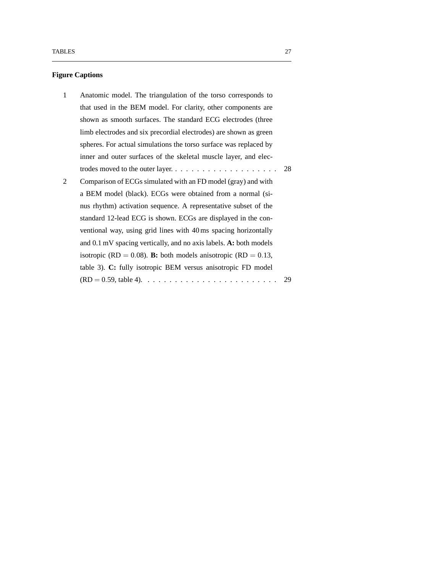### **Figure Captions**

| 1 | Anatomic model. The triangulation of the torso corresponds to                               |      |
|---|---------------------------------------------------------------------------------------------|------|
|   | that used in the BEM model. For clarity, other components are                               |      |
|   | shown as smooth surfaces. The standard ECG electrodes (three                                |      |
|   | limb electrodes and six precordial electrodes) are shown as green                           |      |
|   | spheres. For actual simulations the torso surface was replaced by                           |      |
|   | inner and outer surfaces of the skeletal muscle layer, and elec-                            |      |
|   | trodes moved to the outer layer                                                             | - 28 |
| 2 | Comparison of ECGs simulated with an FD model (gray) and with                               |      |
|   | a BEM model (black). ECGs were obtained from a normal (si-                                  |      |
|   | nus rhythm) activation sequence. A representative subset of the                             |      |
|   | standard 12-lead ECG is shown. ECGs are displayed in the con-                               |      |
|   | ventional way, using grid lines with 40 ms spacing horizontally                             |      |
|   | and 0.1 mV spacing vertically, and no axis labels. A: both models                           |      |
|   | isotropic (RD = 0.08). <b>B:</b> both models anisotropic (RD = 0.13,                        |      |
|   | table 3). C: fully isotropic BEM versus anisotropic FD model                                |      |
|   | $(RD = 0.59, \text{ table 4}). \dots \dots \dots \dots \dots \dots \dots \dots \dots \dots$ | 29   |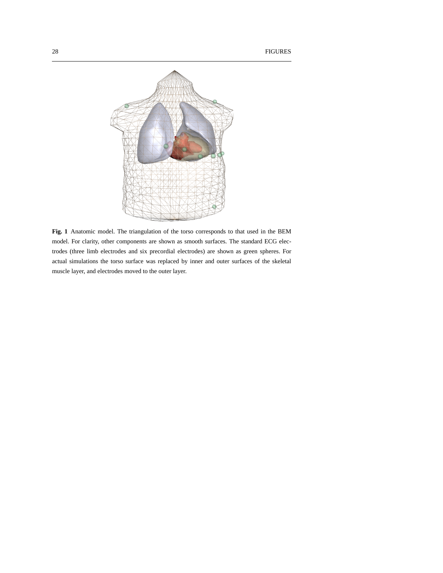

**Fig. 1** Anatomic model. The triangulation of the torso corresponds to that used in the BEM model. For clarity, other components are shown as smooth surfaces. The standard ECG electrodes (three limb electrodes and six precordial electrodes) are shown as green spheres. For actual simulations the torso surface was replaced by inner and outer surfaces of the skeletal muscle layer, and electrodes moved to the outer layer.